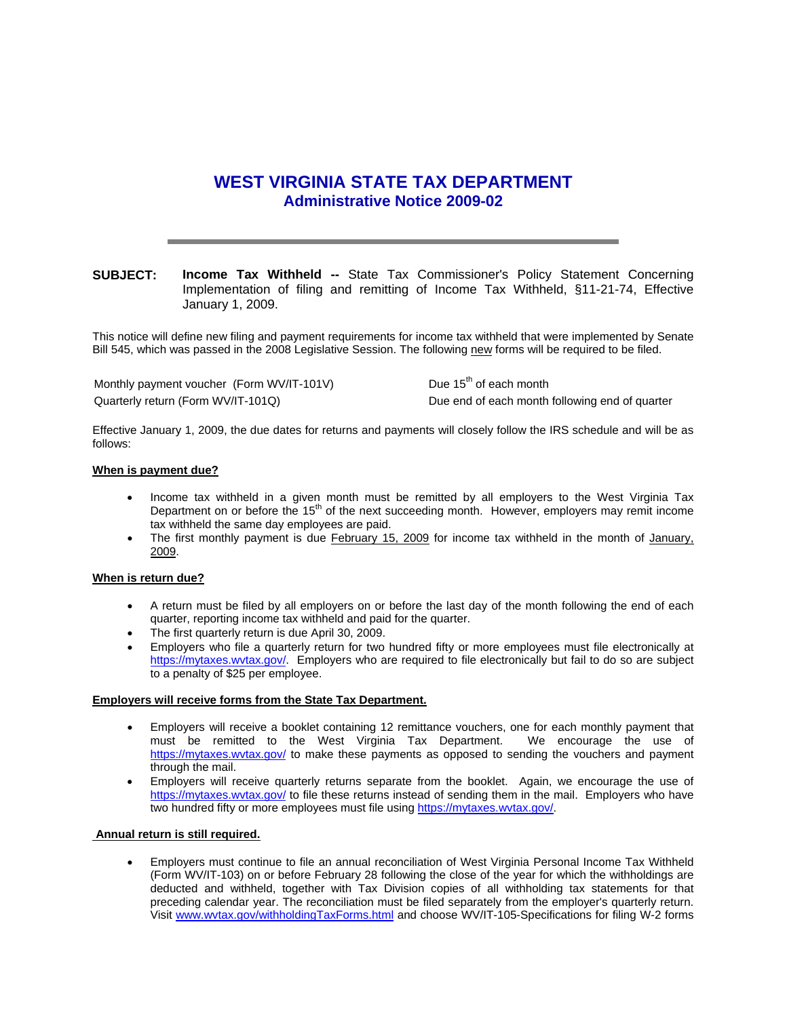# **WEST VIRGINIA STATE TAX DEPARTMENT Administrative Notice 2009-02**

# **SUBJECT: Income Tax Withheld --** State Tax Commissioner's Policy Statement Concerning Implementation of filing and remitting of Income Tax Withheld, §11-21-74, Effective January 1, 2009.

This notice will define new filing and payment requirements for income tax withheld that were implemented by Senate Bill 545, which was passed in the 2008 Legislative Session. The following new forms will be required to be filed.

Monthly payment voucher (Form WV/IT-101V) Due 15<sup>th</sup> of each month Quarterly return (Form WV/IT-101Q) Due end of each month following end of quarter

Effective January 1, 2009, the due dates for returns and payments will closely follow the IRS schedule and will be as follows:

## **When is payment due?**

- Income tax withheld in a given month must be remitted by all employers to the West Virginia Tax Department on or before the  $15<sup>th</sup>$  of the next succeeding month. However, employers may remit income tax withheld the same day employees are paid.
- The first monthly payment is due February 15, 2009 for income tax withheld in the month of January, 2009.

#### **When is return due?**

- A return must be filed by all employers on or before the last day of the month following the end of each quarter, reporting income tax withheld and paid for the quarter.
- The first quarterly return is due April 30, 2009.
- Employers who file a quarterly return for two hundred fifty or more employees must file electronically at https://mytaxes.wvtax.gov/. Employers who are required to file electronically but fail to do so are subject to a penalty of \$25 per employee.

## **Employers will receive forms from the State Tax Department.**

- Employers will receive a booklet containing 12 remittance vouchers, one for each monthly payment that must be remitted to the West Virginia Tax Department. We encourage the use of must be remitted to the West Virginia Tax Department. https://mytaxes.wvtax.gov/ to make these payments as opposed to sending the vouchers and payment through the mail.
- Employers will receive quarterly returns separate from the booklet. Again, we encourage the use of https://mytaxes.wvtax.gov/ to file these returns instead of sending them in the mail. Employers who have two hundred fifty or more employees must file using https://mytaxes.wvtax.gov/.

## **Annual return is still required.**

• Employers must continue to file an annual reconciliation of West Virginia Personal Income Tax Withheld (Form WV/IT-103) on or before February 28 following the close of the year for which the withholdings are deducted and withheld, together with Tax Division copies of all withholding tax statements for that preceding calendar year. The reconciliation must be filed separately from the employer's quarterly return. Visit www.wvtax.gov/withholdingTaxForms.html and choose WV/IT-105-Specifications for filing W-2 forms